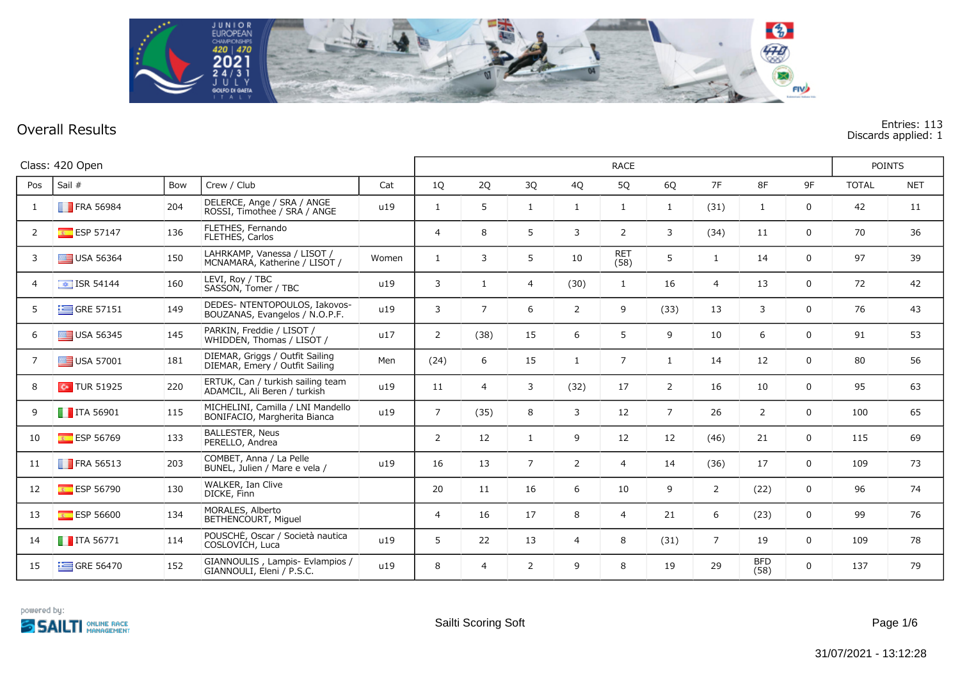

## **Overall Results Entries: 113 Discards applied: 1**

|                | Class: 420 Open          |     |                                                                   |       |                |                | <b>RACE</b>    |                |                |                |                |                    |    |              |            |  |
|----------------|--------------------------|-----|-------------------------------------------------------------------|-------|----------------|----------------|----------------|----------------|----------------|----------------|----------------|--------------------|----|--------------|------------|--|
| Pos            | Sail #                   | Bow | Crew / Club                                                       | Cat   | 1Q             | 2Q             | 3Q             | 4Q             | 5Q             | 6Q             | 7F             | 8F                 | 9F | <b>TOTAL</b> | <b>NET</b> |  |
| 1              | <b>FRA 56984</b>         | 204 | DELERCE, Ange / SRA / ANGE<br>ROSSI, Timothee / SRA / ANGE        | u19   | $\mathbf{1}$   | 5              | 1              | 1              | $\mathbf{1}$   | 1              | (31)           | $\mathbf{1}$       | 0  | 42           | 11         |  |
| 2              | <b>ESP 57147</b>         | 136 | FLETHES, Fernando<br>FLETHES, Carlos                              |       | $\overline{4}$ | 8              | 5              | 3              | $\overline{2}$ | 3              | (34)           | 11                 | 0  | 70           | 36         |  |
| 3              | USA 56364                | 150 | LAHRKAMP, Vanessa / LISOT /<br>MCNAMARA, Katherine / LISOT /      | Women | $\mathbf{1}$   | 3              | 5              | 10             | RET<br>(58)    | 5              | $\mathbf{1}$   | 14                 | 0  | 97           | 39         |  |
| $\overline{4}$ | $\boxed{\div}$ ISR 54144 | 160 | LEVI, Roy / TBC<br>SASSON, Tomer / TBC                            | u19   | 3              | $\mathbf{1}$   | $\overline{4}$ | (30)           | $\mathbf{1}$   | 16             | $\overline{4}$ | 13                 | 0  | 72           | 42         |  |
| 5              | $\equiv$ GRE 57151       | 149 | DEDES- NTENTOPOULOS, Iakovos-<br>BOUZANAS, Evangelos / N.O.P.F.   | u19   | 3              | $\overline{7}$ | 6              | $\overline{2}$ | 9              | (33)           | 13             | 3                  | 0  | 76           | 43         |  |
| 6              | $\equiv$ USA 56345       | 145 | PARKIN, Freddie / LISOT /<br>WHIDDEN, Thomas / LISOT /            | u17   | $\overline{2}$ | (38)           | 15             | 6              | 5              | 9              | 10             | 6                  | 0  | 91           | 53         |  |
| $\overline{7}$ | USA 57001                | 181 | DIEMAR, Griggs / Outfit Sailing<br>DIEMAR, Emery / Outfit Sailing | Men   | (24)           | 6              | 15             | $\mathbf{1}$   | $\overline{7}$ | 1              | 14             | 12                 | 0  | 80           | 56         |  |
| 8              | $\sim$ TUR 51925         | 220 | ERTÜK, Can / turkish sailing team<br>ADAMCIL, Ali Beren / turkish | u19   | 11             | $\overline{4}$ | 3              | (32)           | 17             | $\overline{2}$ | 16             | 10                 | 0  | 95           | 63         |  |
| 9              | $\blacksquare$ ITA 56901 | 115 | MICHELINI, Camilla / LNI Mandello<br>BONIFACIO, Margherita Bianca | u19   | $7^{\circ}$    | (35)           | 8              | 3              | 12             | $\overline{7}$ | 26             | $\overline{2}$     | 0  | 100          | 65         |  |
| 10             | <b>ESP 56769</b>         | 133 | <b>BALLESTER, Neus</b><br>PERELLO, Andrea                         |       | $\overline{2}$ | 12             | 1              | 9              | 12             | 12             | (46)           | 21                 | 0  | 115          | 69         |  |
| 11             | <b>FRA 56513</b>         | 203 | COMBET, Anna / La Pelle<br>BUNEL, Julien / Mare e vela /          | u19   | 16             | 13             | $\overline{7}$ | $\overline{2}$ | $\overline{4}$ | 14             | (36)           | 17                 | 0  | 109          | 73         |  |
| 12             | ESP 56790                | 130 | WALKER, Ian Clive<br>DICKE, Finn                                  |       | 20             | 11             | 16             | 6              | 10             | 9              | $\overline{2}$ | (22)               | 0  | 96           | 74         |  |
| 13             | <b>ESP 56600</b>         | 134 | MORALES, Alberto<br>BETHENCOURT, Miguel                           |       | $\overline{4}$ | 16             | 17             | 8              | $\overline{4}$ | 21             | 6              | (23)               | 0  | 99           | 76         |  |
| 14             | $\blacksquare$ ITA 56771 | 114 | POUSCHE, Oscar / Società nautica<br>COSLOVICH, Luca               | u19   | 5              | 22             | 13             | $\overline{4}$ | 8              | (31)           | $\overline{7}$ | 19                 | 0  | 109          | 78         |  |
| 15             | GRE 56470                | 152 | GIANNOULIS, Lampis- Evlampios /<br>GIANNOULI, Eleni / P.S.C.      | u19   | 8              | $\overline{4}$ | $\overline{2}$ | 9              | 8              | 19             | 29             | <b>BFD</b><br>(58) | 0  | 137          | 79         |  |

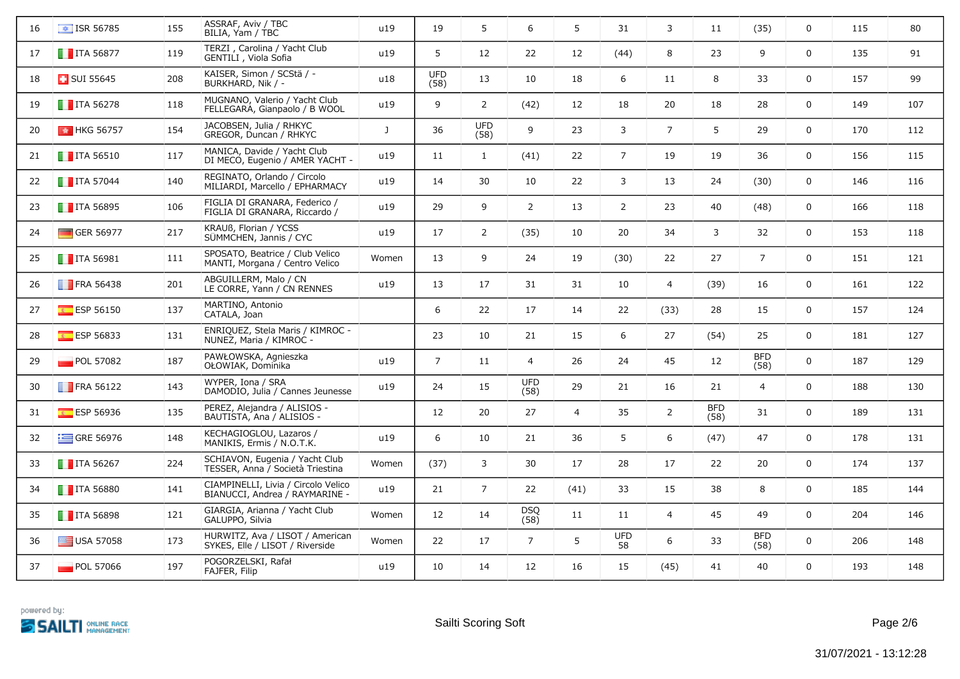| 16 | $\boxed{\bullet}$ ISR 56785 | 155 | ASSRAF, Aviv / TBC<br>BILIA, Yam / TBC                                | u19          | 19                 | 5                  | 6                  | 5              | 31               | 3              | 11                 | (35)               | 0            | 115 | 80  |
|----|-----------------------------|-----|-----------------------------------------------------------------------|--------------|--------------------|--------------------|--------------------|----------------|------------------|----------------|--------------------|--------------------|--------------|-----|-----|
| 17 | $\blacksquare$ ITA 56877    | 119 | TERZI, Carolina / Yacht Club<br>GENTILI, Viola Sofia                  | u19          | 5                  | 12                 | 22                 | 12             | (44)             | 8              | 23                 | 9                  | 0            | 135 | 91  |
| 18 | $\Box$ SUI 55645            | 208 | KAISER, Simon / SCStä / -<br>BURKHARD, Nik / -                        | u18          | <b>UFD</b><br>(58) | 13                 | 10                 | 18             | 6                | 11             | 8                  | 33                 | 0            | 157 | 99  |
| 19 | $\blacksquare$ ITA 56278    | 118 | MUGNANO, Valerio / Yacht Club<br>FELLEGARA, Gianpaolo / B WOOL        | u19          | 9                  | $\overline{2}$     | (42)               | 12             | 18               | 20             | 18                 | 28                 | 0            | 149 | 107 |
| 20 | <b>M</b> HKG 56757          | 154 | JACOBSEN, Julia / RHKYC<br>GREGOR, Duncan / RHKYC                     | $\mathbf{J}$ | 36                 | <b>UFD</b><br>(58) | 9                  | 23             | 3                | $\overline{7}$ | 5                  | 29                 | 0            | 170 | 112 |
| 21 | $\blacksquare$ ITA 56510    | 117 | MANICA, Davide / Yacht Club<br>DI MECO, Eugenio / AMER YACHT -        | u19          | 11                 | $\mathbf{1}$       | (41)               | 22             | $\overline{7}$   | 19             | 19                 | 36                 | 0            | 156 | 115 |
| 22 | $\blacksquare$ ITA 57044    | 140 | REGINATO, Orlando / Circolo<br>MILIARDI, Marcello / EPHARMACY         | u19          | 14                 | 30                 | 10                 | 22             | 3                | 13             | 24                 | (30)               | 0            | 146 | 116 |
| 23 | $\blacksquare$ ITA 56895    | 106 | FIGLIA DI GRANARA, Federico /<br>FIGLIA DI GRANARA, Riccardo /        | u19          | 29                 | 9                  | 2                  | 13             | $\overline{2}$   | 23             | 40                 | (48)               | 0            | 166 | 118 |
| 24 | $\Box$ GER 56977            | 217 | KRAUß, Florian / YCSS<br>SÜMMCHEN, Jannis / CYC                       | u19          | 17                 | $\overline{2}$     | (35)               | 10             | 20               | 34             | 3                  | 32                 | 0            | 153 | 118 |
| 25 | $\blacksquare$ ITA 56981    | 111 | SPOSATO, Beatrice / Club Velico<br>MANTI, Morgana / Centro Velico     | Women        | 13                 | 9                  | 24                 | 19             | (30)             | 22             | 27                 | $\overline{7}$     | 0            | 151 | 121 |
| 26 | <b>FRA 56438</b>            | 201 | ABGUILLERM, Malo / CN<br>LE CORRE, Yann / CN RENNES                   | u19          | 13                 | 17                 | 31                 | 31             | 10               | $\overline{4}$ | (39)               | 16                 | 0            | 161 | 122 |
| 27 | ESP 56150                   | 137 | MARTINO, Antonio<br>CATALA, Joan                                      |              | 6                  | 22                 | 17                 | 14             | 22               | (33)           | 28                 | 15                 | 0            | 157 | 124 |
| 28 | $E$ ESP 56833               | 131 | ENRIQUEZ, Stela Maris / KIMROC -<br>NUÑEZ, Maria / KIMROC -           |              | 23                 | 10                 | 21                 | 15             | 6                | 27             | (54)               | 25                 | 0            | 181 | 127 |
| 29 | POL 57082                   | 187 | PAWŁOWSKA, Agnieszka<br>OŁOWIAK, Dominika                             | u19          | $\overline{7}$     | 11                 | $\overline{4}$     | 26             | 24               | 45             | 12                 | <b>BFD</b><br>(58) | 0            | 187 | 129 |
| 30 | $\blacksquare$ FRA 56122    | 143 | WYPER, Iona / SRA<br>DAMODIO, Julia / Cannes Jeunesse                 | u19          | 24                 | 15                 | <b>UFD</b><br>(58) | 29             | 21               | 16             | 21                 | $\overline{4}$     | 0            | 188 | 130 |
| 31 | ESP 56936                   | 135 | PEREZ, Alejandra / ALISIOS -<br>BAUTISTA, Ana / ALISIOS -             |              | $12 \overline{ }$  | 20                 | 27                 | $\overline{4}$ | 35               | $\overline{2}$ | <b>BFD</b><br>(58) | 31                 | 0            | 189 | 131 |
| 32 | $\equiv$ GRE 56976          | 148 | KECHAGIOGLOU, Lazaros /<br>MANIKIS, Ermis / N.O.T.K.                  | u19          | 6                  | 10                 | 21                 | 36             | 5                | 6              | (47)               | 47                 | 0            | 178 | 131 |
| 33 | $\blacksquare$ ITA 56267    | 224 | SCHIAVON, Eugenia / Yacht Club<br>TESSER, Anna / Società Triestina    | Women        | (37)               | 3                  | 30                 | 17             | 28               | 17             | 22                 | 20                 | 0            | 174 | 137 |
| 34 | $\blacksquare$ ITA 56880    | 141 | CIAMPINELLI, Livia / Circolo Velico<br>BIANUCCI, Andrea / RAYMARINE - | u19          | 21                 | $\overline{7}$     | 22                 | (41)           | 33               | 15             | 38                 | 8                  | 0            | 185 | 144 |
| 35 | $\blacksquare$ ITA 56898    | 121 | GIARGIA, Arianna / Yacht Club<br>GALUPPO, Silvia                      | Women        | 12                 | 14                 | <b>DSQ</b><br>(58) | 11             | 11               | $\overline{4}$ | 45                 | 49                 | 0            | 204 | 146 |
| 36 | $\equiv$ USA 57058          | 173 | HURWITZ, Ava / LISOT / American<br>SYKES, Elle / LISOT / Riverside    | Women        | 22                 | 17                 | $\overline{7}$     | 5              | <b>UFD</b><br>58 | 6              | 33                 | <b>BFD</b><br>(58) | 0            | 206 | 148 |
| 37 | $\blacksquare$ POL 57066    | 197 | POGORZELSKI, Rafał<br>FAJFER, Filip                                   | u19          | 10                 | 14                 | 12                 | 16             | 15               | (45)           | 41                 | 40                 | $\mathsf{O}$ | 193 | 148 |

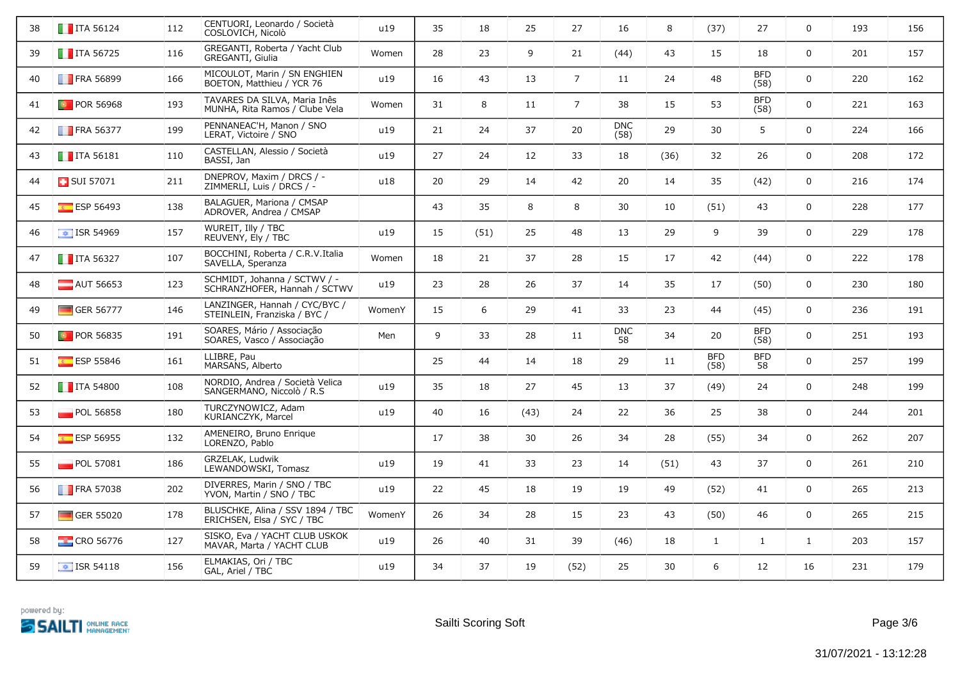| 38 | $\blacksquare$ ITA 56124 | 112 | CENTUORI, Leonardo / Società<br>COSLOVICH, Nicolò              | u19    | 35 | 18   | 25   | 27              | 16                 | 8    | (37)               | 27                 | $\mathbf 0$  | 193 | 156 |
|----|--------------------------|-----|----------------------------------------------------------------|--------|----|------|------|-----------------|--------------------|------|--------------------|--------------------|--------------|-----|-----|
| 39 | $\blacksquare$ ITA 56725 | 116 | GREGANTI, Roberta / Yacht Club<br><b>GREGANTI, Giulia</b>      | Women  | 28 | 23   | 9    | 21              | (44)               | 43   | 15                 | 18                 | $\mathsf{O}$ | 201 | 157 |
| 40 | <b>FRA 56899</b>         | 166 | MICOULOT, Marin / SN ENGHIEN<br>BOETON, Matthieu / YCR 76      | u19    | 16 | 43   | 13   | $\overline{7}$  | 11                 | 24   | 48                 | <b>BFD</b><br>(58) | $\mathbf 0$  | 220 | 162 |
| 41 | <b>D</b> POR 56968       | 193 | TAVARES DA SILVA, Maria Inês<br>MUNHA, Rita Ramos / Clube Vela | Women  | 31 | 8    | 11   | $7\overline{ }$ | 38                 | 15   | 53                 | <b>BFD</b><br>(58) | $\mathsf{O}$ | 221 | 163 |
| 42 | $\blacksquare$ FRA 56377 | 199 | PENNANEAC'H, Manon / SNO<br>LERAT, Victoire / SNO              | u19    | 21 | 24   | 37   | 20              | <b>DNC</b><br>(58) | 29   | 30                 | 5                  | $\mathsf{O}$ | 224 | 166 |
| 43 | $\blacksquare$ ITA 56181 | 110 | CASTELLAN, Alessio / Società<br>BASSI, Jan                     | u19    | 27 | 24   | 12   | 33              | 18                 | (36) | 32                 | 26                 | $\mathsf{O}$ | 208 | 172 |
| 44 | SUI 57071                | 211 | DNEPROV, Maxim / DRCS / -<br>ZIMMERLI, Luis / DRCS / -         | u18    | 20 | 29   | 14   | 42              | 20                 | 14   | 35                 | (42)               | $\mathbf 0$  | 216 | 174 |
| 45 | ESP 56493                | 138 | BALAGUER, Mariona / CMSAP<br>ADROVER, Andrea / CMSAP           |        | 43 | 35   | 8    | 8               | 30                 | 10   | (51)               | 43                 | 0            | 228 | 177 |
| 46 | $\boxed{\div}$ ISR 54969 | 157 | WUREIT, Illy / TBC<br>REUVENY, Ely / TBC                       | u19    | 15 | (51) | 25   | 48              | 13                 | 29   | 9                  | 39                 | $\mathsf{O}$ | 229 | 178 |
| 47 | $\blacksquare$ ITA 56327 | 107 | BOCCHINI, Roberta / C.R.V.Italia<br>SAVELLA, Speranza          | Women  | 18 | 21   | 37   | 28              | 15                 | 17   | 42                 | (44)               | $\mathsf{O}$ | 222 | 178 |
| 48 | AUT 56653                | 123 | SCHMIDT, Johanna / SCTWV / -<br>SCHRANZHOFER, Hannah / SCTWV   | u19    | 23 | 28   | 26   | 37              | 14                 | 35   | 17                 | (50)               | $\mathsf{O}$ | 230 | 180 |
| 49 | $\blacksquare$ GER 56777 | 146 | LANZINGER, Hannah / CYC/BYC /<br>STEINLEIN, Franziska / BYC /  | WomenY | 15 | 6    | 29   | 41              | 33                 | 23   | 44                 | (45)               | $\mathsf{O}$ | 236 | 191 |
| 50 | <b>D</b> POR 56835       | 191 | SOARES, Mário / Associação<br>SOARES, Vasco / Associação       | Men    | 9  | 33   | 28   | 11              | <b>DNC</b><br>58   | 34   | 20                 | <b>BFD</b><br>(58) | $\mathsf{O}$ | 251 | 193 |
| 51 | <b>ESP 55846</b>         | 161 | LLIBRE, Pau<br>MARSANS, Alberto                                |        | 25 | 44   | 14   | 18              | 29                 | 11   | <b>BFD</b><br>(58) | <b>BFD</b><br>58   | $\mathsf{O}$ | 257 | 199 |
| 52 | $\blacksquare$ ITA 54800 | 108 | NORDIO, Andrea / Società Velica<br>SANGERMANO, Niccolò / R.S.  | u19    | 35 | 18   | 27   | 45              | 13                 | 37   | (49)               | 24                 | $\mathsf{O}$ | 248 | 199 |
| 53 | POL 56858                | 180 | TURCZYNOWICZ, Adam<br>KURIANCZYK, Marcel                       | u19    | 40 | 16   | (43) | 24              | 22                 | 36   | 25                 | 38                 | $\mathbf 0$  | 244 | 201 |
| 54 | ESP 56955                | 132 | AMENEIRO, Bruno Enrique<br>LORENZO, Pablo                      |        | 17 | 38   | 30   | 26              | 34                 | 28   | (55)               | 34                 | $\mathsf{O}$ | 262 | 207 |
| 55 | POL 57081                | 186 | GRZELAK, Ludwik<br>LEWANDOWSKI, Tomasz                         | u19    | 19 | 41   | 33   | 23              | 14                 | (51) | 43                 | 37                 | $\mathsf{O}$ | 261 | 210 |
| 56 | <b>FRA 57038</b>         | 202 | DIVERRES, Marin / SNO / TBC<br>YVON, Martin / SNO / TBC        | u19    | 22 | 45   | 18   | 19              | 19                 | 49   | (52)               | 41                 | $\mathsf{O}$ | 265 | 213 |
| 57 | GER 55020                | 178 | BLÜSCHKE, Alina / SSV 1894 / TBC<br>ERICHSEN, Elsa / SYC / TBC | WomenY | 26 | 34   | 28   | 15              | 23                 | 43   | (50)               | 46                 | $\mathsf{O}$ | 265 | 215 |
| 58 | <b>EXCRO 56776</b>       | 127 | SISKO, Eva / YACHT CLUB USKOK<br>MAVAR, Marta / YACHT CLUB     | u19    | 26 | 40   | 31   | 39              | (46)               | 18   | $\mathbf{1}$       | $\mathbf{1}$       | $\mathbf{1}$ | 203 | 157 |
| 59 | $\boxed{\div}$ ISR 54118 | 156 | ELMAKIAS, Ori / TBC<br>GAL, Ariel / TBC                        | u19    | 34 | 37   | 19   | (52)            | 25                 | 30   | 6                  | 12                 | 16           | 231 | 179 |

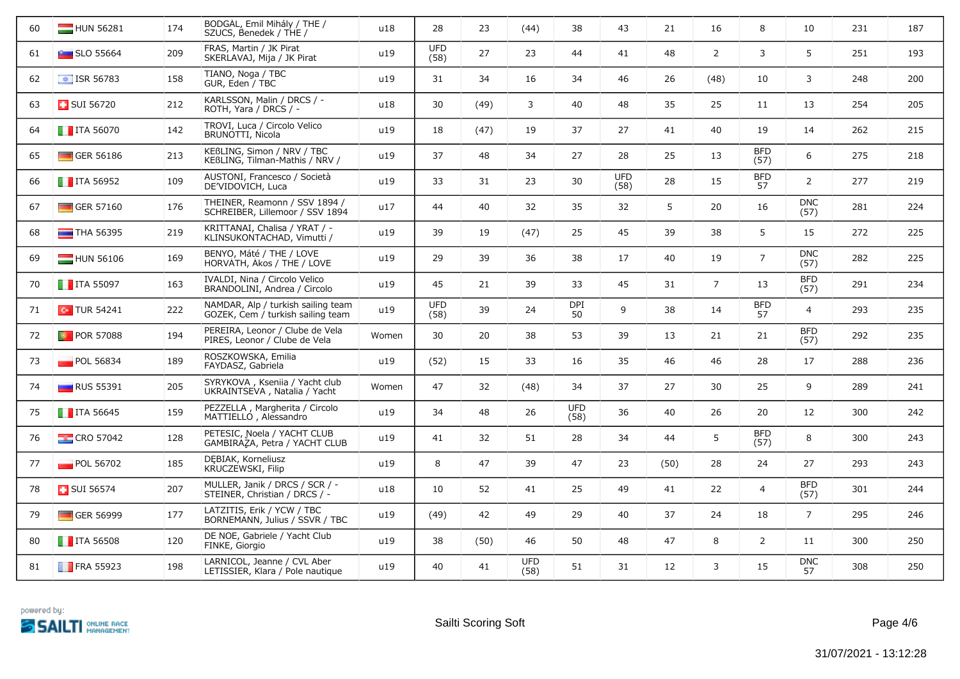| 60 | HUN 56281                   | 174 | BODGAL, Emil Mihály / THE /<br>SZÜCS, Benedek / THE /                   | u18   | 28                 | 23   | (44)               | 38                 | 43                 | 21             | 16             | 8                  | 10                 | 231 | 187 |
|----|-----------------------------|-----|-------------------------------------------------------------------------|-------|--------------------|------|--------------------|--------------------|--------------------|----------------|----------------|--------------------|--------------------|-----|-----|
| 61 | $\blacksquare$ SLO 55664    | 209 | FRAS, Martin / JK Pirat<br>SKERLAVAJ, Mija / JK Pirat                   | u19   | <b>UFD</b><br>(58) | 27   | 23                 | 44                 | 41                 | 48             | $\overline{2}$ | 3                  | 5                  | 251 | 193 |
| 62 | $\frac{1}{2}$ ISR 56783     | 158 | TIANO, Noga / TBC<br>GUR, Eden / TBC                                    | u19   | 31                 | 34   | 16                 | 34                 | 46                 | 26             | (48)           | 10                 | 3                  | 248 | 200 |
| 63 | <b>B</b> SUI 56720          | 212 | KARLSSON, Malin / DRCS / -<br>ROTH, Yara / DRCS / -                     | u18   | 30                 | (49) | 3                  | 40                 | 48                 | 35             | 25             | 11                 | 13                 | 254 | 205 |
| 64 | $\blacksquare$ ITA 56070    | 142 | TROVI, Luca / Circolo Velico<br>BRUNOTTI, Nicola                        | u19   | 18                 | (47) | 19                 | 37                 | 27                 | 41             | 40             | 19                 | 14                 | 262 | 215 |
| 65 | GER 56186                   | 213 | KEßLING, Simon / NRV / TBC<br>KEBLING, Tilman-Mathis / NRV /            | u19   | 37                 | 48   | 34                 | 27                 | 28                 | 25             | 13             | <b>BFD</b><br>(57) | 6                  | 275 | 218 |
| 66 | $\blacksquare$ ITA 56952    | 109 | AUSTONI, Francesco / Società<br>DE'VIDOVICH, Luca                       | u19   | 33                 | 31   | 23                 | 30                 | <b>UFD</b><br>(58) | 28             | 15             | <b>BFD</b><br>57   | $\overline{2}$     | 277 | 219 |
| 67 | $\Box$ GER 57160            | 176 | THEINER, Reamonn / SSV 1894 /<br>SCHREIBER, Lillemoor / SSV 1894        | u17   | 44                 | 40   | 32                 | 35                 | 32                 | 5 <sup>1</sup> | 20             | 16                 | <b>DNC</b><br>(57) | 281 | 224 |
| 68 | $\blacksquare$ THA 56395    | 219 | KRITTANAI, Chalisa / YRAT / -<br>KLINSUKONTACHAD, Vimutti /             | u19   | 39                 | 19   | (47)               | 25                 | 45                 | 39             | 38             | 5                  | 15                 | 272 | 225 |
| 69 | HUN 56106                   | 169 | BENYO, Máté / THE / LOVE<br>HORVATH, Akos / THE / LOVE                  | u19   | 29                 | 39   | 36                 | 38                 | 17                 | 40             | 19             | $\overline{7}$     | <b>DNC</b><br>(57) | 282 | 225 |
| 70 | $\blacksquare$ ITA 55097    | 163 | IVALDI, Nina / Circolo Velico<br>BRANDOLINI, Andrea / Circolo           | u19   | 45                 | 21   | 39                 | 33                 | 45                 | 31             | $\overline{7}$ | 13                 | <b>BFD</b><br>(57) | 291 | 234 |
| 71 | $\boxed{\bullet}$ TUR 54241 | 222 | NAMDAR, Alp / turkish sailing team<br>GÖZEK, Cem / turkish sailing team | u19   | <b>UFD</b><br>(58) | 39   | 24                 | <b>DPI</b><br>50   | 9                  | 38             | 14             | <b>BFD</b><br>57   | $\overline{4}$     | 293 | 235 |
| 72 | <b>D</b> POR 57088          | 194 | PEREIRA, Leonor / Clube de Vela<br>PIRES, Leonor / Clube de Vela        | Women | 30                 | 20   | 38                 | 53                 | 39                 | 13             | 21             | 21                 | <b>BFD</b><br>(57) | 292 | 235 |
| 73 | $\blacksquare$ POL 56834    | 189 | ROSZKOWSKA, Emilia<br>FAYDASZ, Gabriela                                 | u19   | (52)               | 15   | 33                 | 16                 | 35                 | 46             | 46             | 28                 | 17                 | 288 | 236 |
| 74 | $\Box$ RUS 55391            | 205 | SYRYKOVA, Kseniia / Yacht club<br>UKRAINTSEVA, Natalia / Yacht          | Women | 47                 | 32   | (48)               | 34                 | 37                 | 27             | 30             | 25                 | 9                  | 289 | 241 |
| 75 | $\blacksquare$ ITA 56645    | 159 | PEZZELLA, Margherita / Circolo<br>MATTIELLO, Alessandro                 | u19   | 34                 | 48   | 26                 | <b>UFD</b><br>(58) | 36                 | 40             | 26             | 20                 | 12                 | 300 | 242 |
| 76 | <b>EX</b> CRO 57042         | 128 | PETESIC, Noela / YACHT CLUB<br>GAMBIRAZA, Petra / YACHT CLUB            | u19   | 41                 | 32   | 51                 | 28                 | 34                 | 44             | 5              | <b>BFD</b><br>(57) | 8                  | 300 | 243 |
| 77 | <b>POL 56702</b>            | 185 | DEBIAK, Korneliusz<br>KRUCZEWSKI, Filip                                 | u19   | 8                  | 47   | 39                 | 47                 | 23                 | (50)           | 28             | 24                 | 27                 | 293 | 243 |
| 78 | <b>B</b> SUI 56574          | 207 | MÜLLER, Janik / DRCS / SCR / -<br>STEINER, Christian / DRCS / -         | u18   | 10                 | 52   | 41                 | 25                 | 49                 | 41             | 22             | 4                  | <b>BFD</b><br>(57) | 301 | 244 |
| 79 | $\Box$ GER 56999            | 177 | LATZITIS, Erik / YCW / TBC<br>BORNEMANN, Julius / SSVR / TBC            | u19   | (49)               | 42   | 49                 | 29                 | 40                 | 37             | 24             | 18                 | $7^{\circ}$        | 295 | 246 |
| 80 | $\blacksquare$ ITA 56508    | 120 | DE NOE, Gabriele / Yacht Club<br>FINKE, Giorgio                         | u19   | 38                 | (50) | 46                 | 50                 | 48                 | 47             | 8              | $\overline{2}$     | 11                 | 300 | 250 |
| 81 | <b>FRA 55923</b>            | 198 | LARNICOL, Jeanne / CVL Aber<br>LETISSIER, Klara / Pole nautique         | u19   | 40                 | 41   | <b>UFD</b><br>(58) | 51                 | 31                 | 12             | 3              | 15                 | <b>DNC</b><br>57   | 308 | 250 |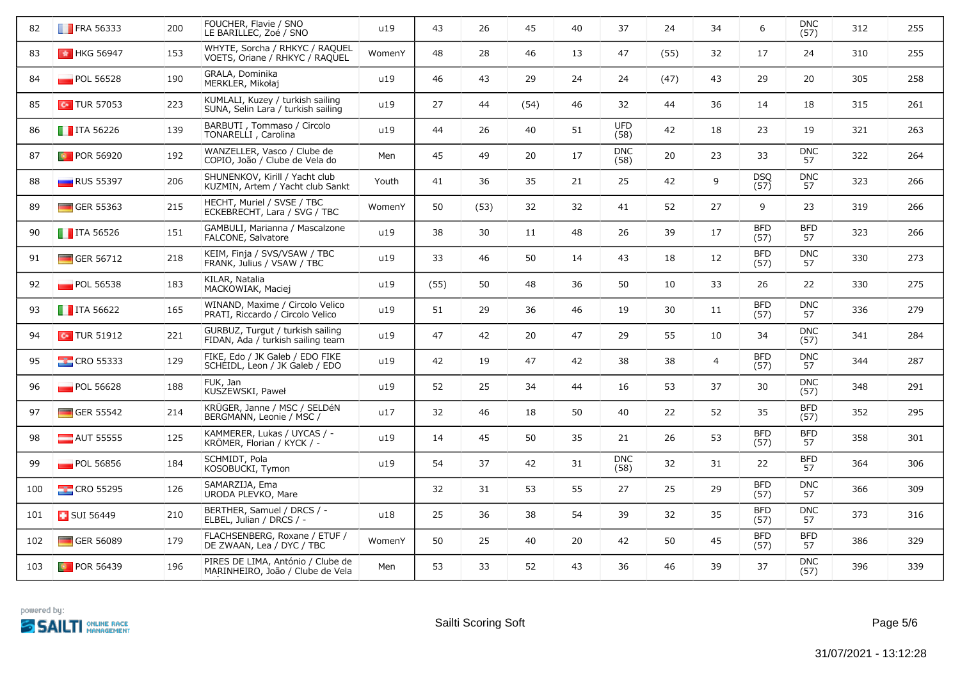| 82  | $\blacksquare$ FRA 56333 | 200 | FOUCHER, Flavie / SNO<br>LE BARILLEC, Zoé / SNO                        | u19    | 43   | 26   | 45   | 40 | 37                 | 24   | 34             | 6                  | <b>DNC</b><br>(57) | 312 | 255 |
|-----|--------------------------|-----|------------------------------------------------------------------------|--------|------|------|------|----|--------------------|------|----------------|--------------------|--------------------|-----|-----|
| 83  | <b>ED</b> HKG 56947      | 153 | WHYTE, Sorcha / RHKYC / RAQUEL<br>VOETS, Oriane / RHKYC / RAQUEL       | WomenY | 48   | 28   | 46   | 13 | 47                 | (55) | 32             | 17                 | 24                 | 310 | 255 |
| 84  | POL 56528                | 190 | GRALA, Dominika<br>MERKLER, Mikołaj                                    | u19    | 46   | 43   | 29   | 24 | 24                 | (47) | 43             | 29                 | 20                 | 305 | 258 |
| 85  | $\sim$ TUR 57053         | 223 | KUMLALI, Kuzey / turkish sailing<br>SUNA, Selin Lara / turkish sailing | u19    | 27   | 44   | (54) | 46 | 32                 | 44   | 36             | 14                 | 18                 | 315 | 261 |
| 86  | $\blacksquare$ ITA 56226 | 139 | BARBUTI, Tommaso / Circolo<br>TONARELLI, Carolina                      | u19    | 44   | 26   | 40   | 51 | <b>UFD</b><br>(58) | 42   | 18             | 23                 | 19                 | 321 | 263 |
| 87  | <b>D</b> POR 56920       | 192 | WANZELLER, Vasco / Clube de<br>COPIO, João / Clube de Vela do          | Men    | 45   | 49   | 20   | 17 | <b>DNC</b><br>(58) | 20   | 23             | 33                 | <b>DNC</b><br>57   | 322 | 264 |
| 88  | <b>RUS 55397</b>         | 206 | SHUNENKOV, Kirill / Yacht club<br>KUZMIN, Artem / Yacht club Sankt     | Youth  | 41   | 36   | 35   | 21 | 25                 | 42   | 9              | <b>DSQ</b><br>(57) | <b>DNC</b><br>57   | 323 | 266 |
| 89  | $\Box$ GER 55363         | 215 | HECHT, Muriel / SVSE / TBC<br>ECKEBRECHT, Lara / SVG / TBC             | WomenY | 50   | (53) | 32   | 32 | 41                 | 52   | 27             | 9                  | 23                 | 319 | 266 |
| 90  | $\blacksquare$ ITA 56526 | 151 | GAMBULI, Marianna / Mascalzone<br>FALCONE, Salvatore                   | u19    | 38   | 30   | 11   | 48 | 26                 | 39   | 17             | <b>BFD</b><br>(57) | <b>BFD</b><br>57   | 323 | 266 |
| 91  | $\Box$ GER 56712         | 218 | KEIM, Finja / SVS/VSAW / TBC<br>FRANK, Julius / VSAW / TBC             | u19    | 33   | 46   | 50   | 14 | 43                 | 18   | 12             | <b>BFD</b><br>(57) | <b>DNC</b><br>57   | 330 | 273 |
| 92  | $\blacksquare$ POL 56538 | 183 | KILAR, Natalia<br>MACKOWIAK, Maciej                                    | u19    | (55) | 50   | 48   | 36 | 50                 | 10   | 33             | 26                 | 22                 | 330 | 275 |
| 93  | $\blacksquare$ ITA 56622 | 165 | WINAND, Maxime / Circolo Velico<br>PRATI, Riccardo / Circolo Velico    | u19    | 51   | 29   | 36   | 46 | 19                 | 30   | 11             | <b>BFD</b><br>(57) | <b>DNC</b><br>57   | 336 | 279 |
| 94  | $\sim$ TUR 51912         | 221 | GÜRBÜZ, Turgut / turkish sailing<br>FIDAN, Ada / turkish sailing team  | u19    | 47   | 42   | 20   | 47 | 29                 | 55   | 10             | 34                 | <b>DNC</b><br>(57) | 341 | 284 |
| 95  | $\frac{1}{2}$ CRO 55333  | 129 | FIKE, Edo / JK Galeb / EDO FIKE<br>SCHEIDL, Leon / JK Galeb / EDO      | u19    | 42   | 19   | 47   | 42 | 38                 | 38   | $\overline{4}$ | <b>BFD</b><br>(57) | <b>DNC</b><br>57   | 344 | 287 |
| 96  | $\blacksquare$ POL 56628 | 188 | FUK, Jan<br>KUSZEWSKI, Paweł                                           | u19    | 52   | 25   | 34   | 44 | 16                 | 53   | 37             | 30                 | <b>DNC</b><br>(57) | 348 | 291 |
| 97  | $\Box$ GER 55542         | 214 | KRÜGER, Janne / MSC / SELDéN<br>BERGMANN, Leonie / MSC /               | u17    | 32   | 46   | 18   | 50 | 40                 | 22   | 52             | 35                 | <b>BFD</b><br>(57) | 352 | 295 |
| 98  | $\blacksquare$ AUT 55555 | 125 | KAMMERER, Lukas / UYCAS / -<br>KRÖMER, Florian / KYCK / -              | u19    | 14   | 45   | 50   | 35 | 21                 | 26   | 53             | <b>BFD</b><br>(57) | <b>BFD</b><br>57   | 358 | 301 |
| 99  | $\blacksquare$ POL 56856 | 184 | SCHMIDT, Pola<br>KOSOBUCKI, Tymon                                      | u19    | 54   | 37   | 42   | 31 | <b>DNC</b><br>(58) | 32   | 31             | 22                 | <b>BFD</b><br>57   | 364 | 306 |
| 100 | $\frac{1}{2}$ CRO 55295  | 126 | SAMARŽIJA, Ema<br>URODA PLEVKO, Mare                                   |        | 32   | 31   | 53   | 55 | 27                 | 25   | 29             | <b>BFD</b><br>(57) | <b>DNC</b><br>57   | 366 | 309 |
| 101 | <b>B</b> SUI 56449       | 210 | BERTHER, Samuel / DRCS / -<br>ELBEL, Julian / DRCS / -                 | u18    | 25   | 36   | 38   | 54 | 39                 | 32   | 35             | <b>BFD</b><br>(57) | <b>DNC</b><br>57   | 373 | 316 |
| 102 | $\Box$ GER 56089         | 179 | FLACHSENBERG, Roxane / ETUF /<br>DE ZWAAN, Lea / DYC / TBC             | WomenY | 50   | 25   | 40   | 20 | 42                 | 50   | 45             | <b>BFD</b><br>(57) | <b>BFD</b><br>57   | 386 | 329 |
| 103 | <b>D</b> POR 56439       | 196 | PIRES DE LIMA, António / Clube de<br>MARINHEIRO, João / Clube de Vela  | Men    | 53   | 33   | 52   | 43 | 36                 | 46   | 39             | 37                 | <b>DNC</b><br>(57) | 396 | 339 |